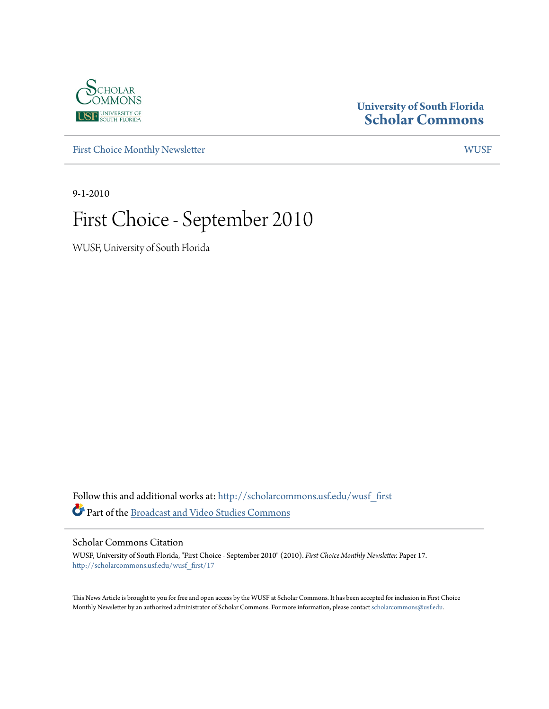

### **University of South Florida [Scholar Commons](http://scholarcommons.usf.edu?utm_source=scholarcommons.usf.edu%2Fwusf_first%2F17&utm_medium=PDF&utm_campaign=PDFCoverPages)**

[First Choice Monthly Newsletter](http://scholarcommons.usf.edu/wusf_first?utm_source=scholarcommons.usf.edu%2Fwusf_first%2F17&utm_medium=PDF&utm_campaign=PDFCoverPages) [WUSF](http://scholarcommons.usf.edu/wusf?utm_source=scholarcommons.usf.edu%2Fwusf_first%2F17&utm_medium=PDF&utm_campaign=PDFCoverPages)

9-1-2010

## First Choice - September 2010

WUSF, University of South Florida

Follow this and additional works at: [http://scholarcommons.usf.edu/wusf\\_first](http://scholarcommons.usf.edu/wusf_first?utm_source=scholarcommons.usf.edu%2Fwusf_first%2F17&utm_medium=PDF&utm_campaign=PDFCoverPages) Part of the [Broadcast and Video Studies Commons](http://network.bepress.com/hgg/discipline/326?utm_source=scholarcommons.usf.edu%2Fwusf_first%2F17&utm_medium=PDF&utm_campaign=PDFCoverPages)

Scholar Commons Citation

WUSF, University of South Florida, "First Choice - September 2010" (2010). *First Choice Monthly Newsletter.* Paper 17. [http://scholarcommons.usf.edu/wusf\\_first/17](http://scholarcommons.usf.edu/wusf_first/17?utm_source=scholarcommons.usf.edu%2Fwusf_first%2F17&utm_medium=PDF&utm_campaign=PDFCoverPages)

This News Article is brought to you for free and open access by the WUSF at Scholar Commons. It has been accepted for inclusion in First Choice Monthly Newsletter by an authorized administrator of Scholar Commons. For more information, please contact [scholarcommons@usf.edu.](mailto:scholarcommons@usf.edu)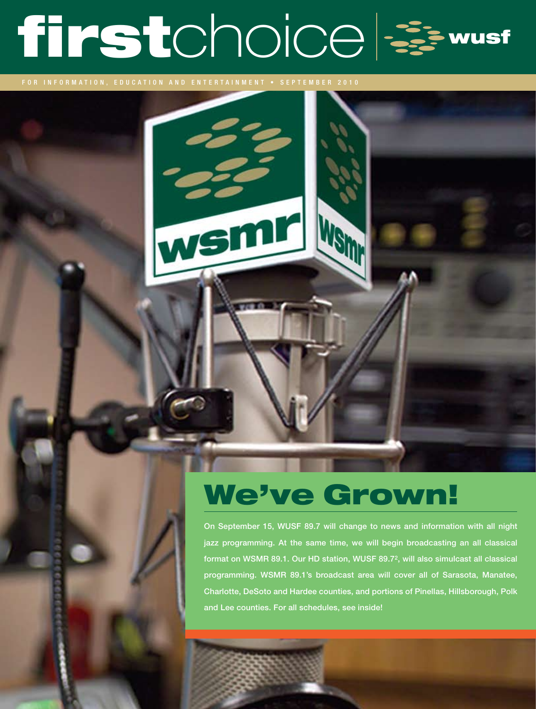# firstchoice =

FOR INFORMATION, EDUCATION AND ENTERTAINMENT • SEPTEMBER 2010

## We've Grown!

On September 15, WUSF 89.7 will change to news and information with all night jazz programming. At the same time, we will begin broadcasting an all classical format on WSMR 89.1. Our HD station, WUSF 89.72, will also simulcast all classical programming. WSMR 89.1's broadcast area will cover all of Sarasota, Manatee, Charlotte, DeSoto and Hardee counties, and portions of Pinellas, Hillsborough, Polk and Lee counties. For all schedules, see inside!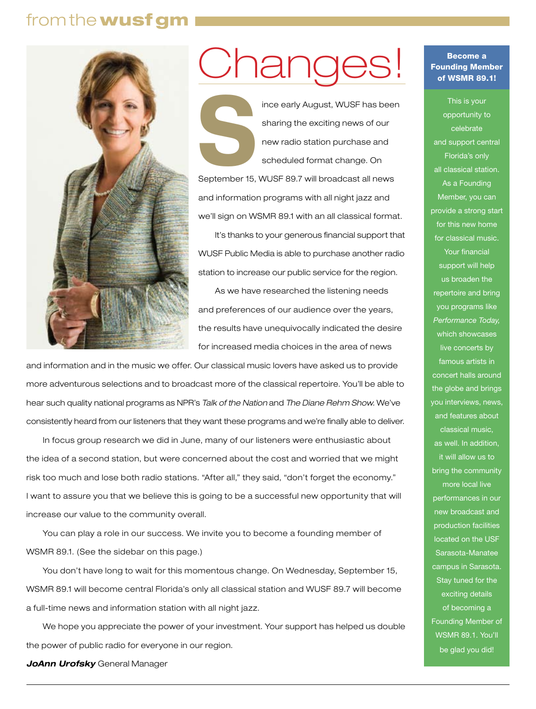## from the wusf gm



## Jhanges

Finder early August, WUSF has been<br>sharing the exciting news of our<br>new radio station purchase and<br>scheduled format change. On sharing the exciting news of our new radio station purchase and scheduled format change. On September 15, WUSF 89.7 will broadcast all news and information programs with all night jazz and we'll sign on WSMR 89.1 with an all classical format.

It's thanks to your generous financial support that WUSF Public Media is able to purchase another radio station to increase our public service for the region.

As we have researched the listening needs and preferences of our audience over the years, the results have unequivocally indicated the desire for increased media choices in the area of news

and information and in the music we offer. Our classical music lovers have asked us to provide more adventurous selections and to broadcast more of the classical repertoire. You'll be able to hear such quality national programs as NPR's *Talk of the Nation* and *The Diane Rehm Show.* We've consistently heard from our listeners that they want these programs and we're finally able to deliver.

In focus group research we did in June, many of our listeners were enthusiastic about the idea of a second station, but were concerned about the cost and worried that we might risk too much and lose both radio stations. "After all," they said, "don't forget the economy." I want to assure you that we believe this is going to be a successful new opportunity that will increase our value to the community overall.

You can play a role in our success. We invite you to become a founding member of WSMR 89.1. (See the sidebar on this page.)

You don't have long to wait for this momentous change. On Wednesday, September 15, WSMR 89.1 will become central Florida's only all classical station and WUSF 89.7 will become a full-time news and information station with all night jazz.

We hope you appreciate the power of your investment. Your support has helped us double the power of public radio for everyone in our region.

*JoAnn Urofsky* General Manager

### Become a Founding Member of WSMR 89.1!

This is your opportunity to celebrate and support central Florida's only all classical station. As a Founding Member, you can provide a strong start for this new home for classical music. Your financial support will help us broaden the repertoire and bring you programs like *Performance Today,*  which showcases live concerts by famous artists in concert halls around the globe and brings you interviews, news, and features about classical music, as well. In addition, it will allow us to bring the community more local live performances in our new broadcast and production facilities located on the USF Sarasota-Manatee campus in Sarasota. Stay tuned for the exciting details of becoming a Founding Member of WSMR 89.1. You'll be glad you did!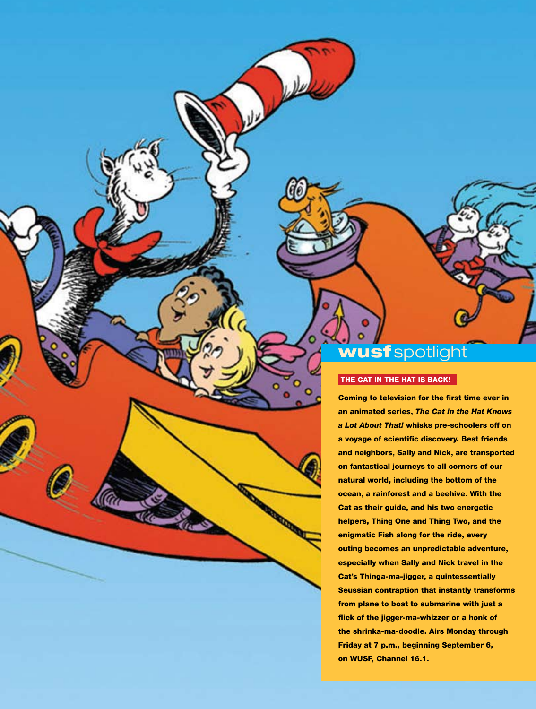## wusf spotlight

### THE CAT IN THE HAT IS BACK!

Coming to television for the first time ever in an animated series, *The Cat in the Hat Knows a Lot About That!* whisks pre-schoolers off on a voyage of scientific discovery. Best friends and neighbors, Sally and Nick, are transported on fantastical journeys to all corners of our natural world, including the bottom of the ocean, a rainforest and a beehive. With the Cat as their guide, and his two energetic helpers, Thing One and Thing Two, and the enigmatic Fish along for the ride, every outing becomes an unpredictable adventure, especially when Sally and Nick travel in the Cat's Thinga-ma-jigger, a quintessentially Seussian contraption that instantly transforms from plane to boat to submarine with just a flick of the jigger-ma-whizzer or a honk of the shrinka-ma-doodle. Airs Monday through Friday at 7 p.m., beginning September 6, on WUSF, Channel 16.1.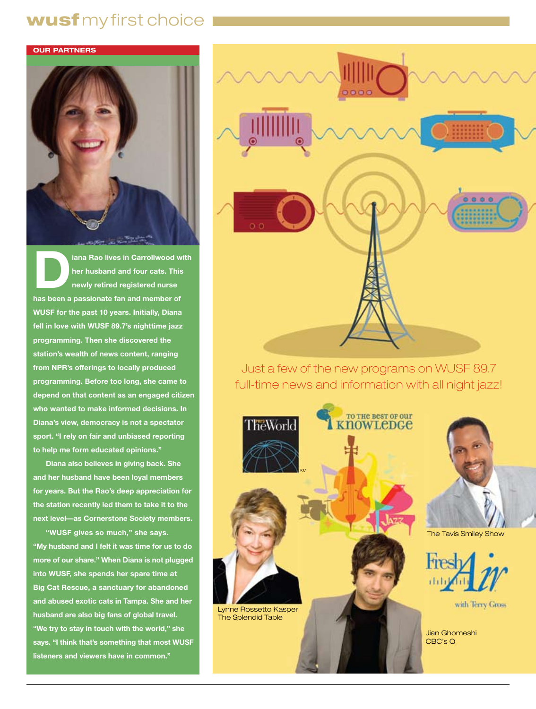## wusf my first choice



**Diana Rao lives in Carrollwood with her husband and four cats. This newly retired registered nurse has been a passionate fan and member of WUSF for the past 10 years. Initially, Diana fell in love with WUSF 89.7's nighttime jazz programming. Then she discovered the station's wealth of news content, ranging from NPR's offerings to locally produced programming. Before too long, she came to depend on that content as an engaged citizen who wanted to make informed decisions. In Diana's view, democracy is not a spectator sport. "I rely on fair and unbiased reporting to help me form educated opinions."** 

**Diana also believes in giving back. She and her husband have been loyal members for years. But the Rao's deep appreciation for the station recently led them to take it to the next level—as Cornerstone Society members.**

**"WUSF gives so much," she says. "My husband and I felt it was time for us to do more of our share." When Diana is not plugged into WUSF, she spends her spare time at Big Cat Rescue, a sanctuary for abandoned and abused exotic cats in Tampa. She and her husband are also big fans of global travel. "We try to stay in touch with the world," she says. "I think that's something that most WUSF listeners and viewers have in common."** 



Just a few of the new programs on WUSF 89.7 full-time news and information with all night jazz!

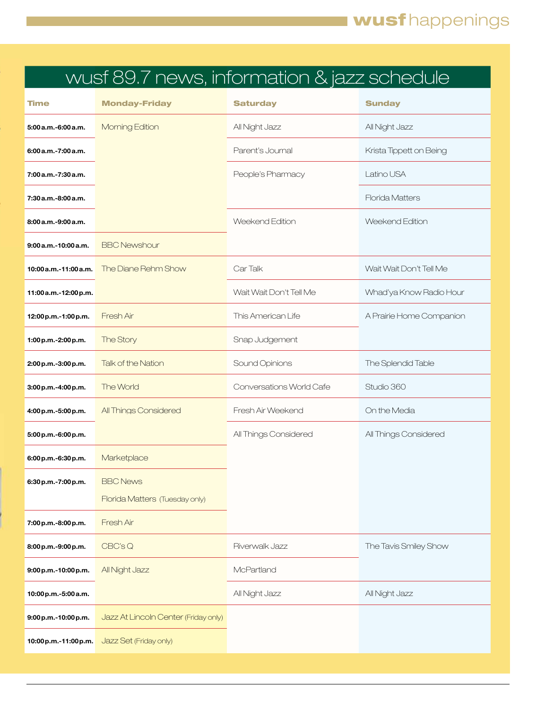## wusf 89.7 news, information & jazz schedule

| <b>Time</b>           | <b>Monday-Friday</b>                 | <b>Saturday</b>          | <b>Sunday</b>            |
|-----------------------|--------------------------------------|--------------------------|--------------------------|
| 5:00 a.m.-6:00 a.m.   | Morning Edition                      | All Night Jazz           | All Night Jazz           |
| 6:00 a.m.-7:00 a.m.   |                                      | Parent's Journal         | Krista Tippett on Being  |
| 7:00 a.m.-7:30 a.m.   |                                      | People's Pharmacy        | Latino USA               |
| 7:30 a.m.-8:00 a.m.   |                                      |                          | <b>Florida Matters</b>   |
| 8:00 a.m. - 9:00 a.m. |                                      | Weekend Fdition          | Weekend Edition          |
| 9:00 a.m.-10:00 a.m.  | <b>BBC Newshour</b>                  |                          |                          |
| 10:00 a.m.-11:00 a.m. | The Diane Rehm Show                  | Car Talk                 | Wait Wait Don't Tell Me  |
| 11:00 a.m.-12:00 p.m. |                                      | Wait Wait Don't Tell Me  | Whad'ya Know Radio Hour  |
| 12:00 p.m.-1:00 p.m.  | Fresh Air                            | This American Life       | A Prairie Home Companion |
| 1:00 p.m.-2:00 p.m.   | The Story                            | Snap Judgement           |                          |
| 2:00 p.m.-3:00 p.m.   | <b>Talk of the Nation</b>            | Sound Opinions           | The Splendid Table       |
| 3:00 p.m.-4:00 p.m.   | The World                            | Conversations World Cafe | Studio 360               |
| 4:00 p.m.-5:00 p.m.   | All Things Considered                | Fresh Air Weekend        | On the Media             |
| 5:00 p.m. - 6:00 p.m. |                                      | All Things Considered    | All Things Considered    |
| 6:00 p.m.-6:30 p.m.   | Marketplace                          |                          |                          |
| 6:30 p.m.-7:00 p.m.   | <b>BBC News</b>                      |                          |                          |
|                       | Florida Matters (Tuesday only)       |                          |                          |
| 7:00 p.m.-8:00 p.m.   | Fresh Air                            |                          |                          |
| 8:00 p.m.-9:00 p.m.   | CBC'sQ                               | Riverwalk Jazz           | The Tavis Smiley Show    |
| 9:00 p.m.-10:00 p.m.  | All Night Jazz                       | McPartland               |                          |
| 10:00 p.m.-5:00 a.m.  |                                      | All Night Jazz           | All Night Jazz           |
| 9:00 p.m.-10:00 p.m.  | Jazz At Lincoln Center (Friday only) |                          |                          |
| 10:00 p.m.-11:00 p.m. | Jazz Set (Friday only)               |                          |                          |
|                       |                                      |                          |                          |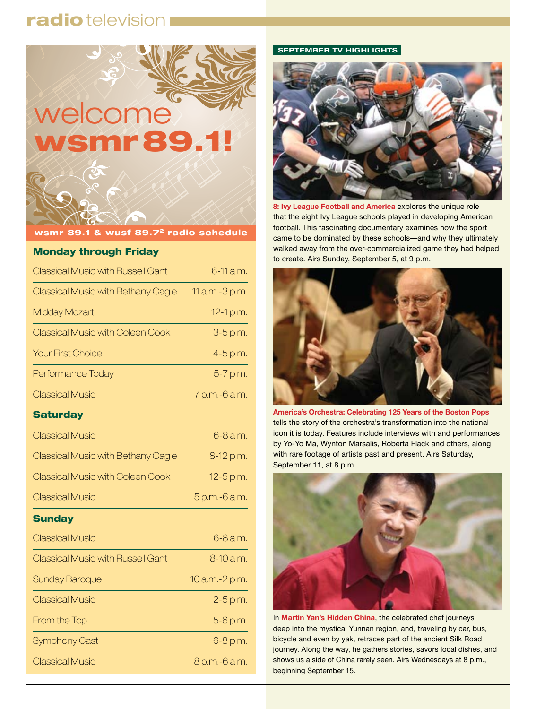## radio television



wsmr 89.1 & wusf 89.7<sup>2</sup> radio schedule

### Monday through Friday

| <b>Classical Music with Russell Gant</b>  | 6-11 a.m.      |
|-------------------------------------------|----------------|
| Classical Music with Bethany Cagle        | 11 a.m.-3 p.m. |
| Midday Mozart                             | 12-1 p.m.      |
| <b>Classical Music with Coleen Cook</b>   | 3-5 p.m.       |
| <b>Your First Choice</b>                  | 4-5 p.m.       |
| Performance Today                         | 5-7 p.m.       |
| <b>Classical Music</b>                    | 7 p.m.-6 a.m.  |
| <b>Saturday</b>                           |                |
| <b>Classical Music</b>                    | 6-8 a.m.       |
| <b>Classical Music with Bethany Cagle</b> | 8-12 p.m.      |
| <b>Classical Music with Coleen Cook</b>   | 12-5 p.m.      |
| <b>Classical Music</b>                    | 5 p.m.-6 a.m.  |
| <b>Sunday</b>                             |                |
| <b>Classical Music</b>                    | 6-8 a.m.       |
| <b>Classical Music with Russell Gant</b>  | 8-10 a.m.      |
| Sunday Baroque                            | 10 a.m.-2 p.m. |
| <b>Classical Music</b>                    | 2-5 p.m.       |
| From the Top                              | 5-6 p.m.       |
| Symphony Cast                             | 6-8 p.m.       |
| <b>Classical Music</b>                    | 8 p.m.-6 a.m.  |

### **SEPTEMBER TV HIGHLIGHTS**



**8: Ivy League Football and America** explores the unique role that the eight Ivy League schools played in developing American football. This fascinating documentary examines how the sport came to be dominated by these schools—and why they ultimately walked away from the over-commercialized game they had helped to create. Airs Sunday, September 5, at 9 p.m.



**America's Orchestra: Celebrating 125 Years of the Boston Pops** tells the story of the orchestra's transformation into the national icon it is today. Features include interviews with and performances by Yo-Yo Ma, Wynton Marsalis, Roberta Flack and others, along with rare footage of artists past and present. Airs Saturday, September 11, at 8 p.m.



In **Martin Yan's Hidden China**, the celebrated chef journeys deep into the mystical Yunnan region, and, traveling by car, bus, bicycle and even by yak, retraces part of the ancient Silk Road journey. Along the way, he gathers stories, savors local dishes, and shows us a side of China rarely seen. Airs Wednesdays at 8 p.m., beginning September 15.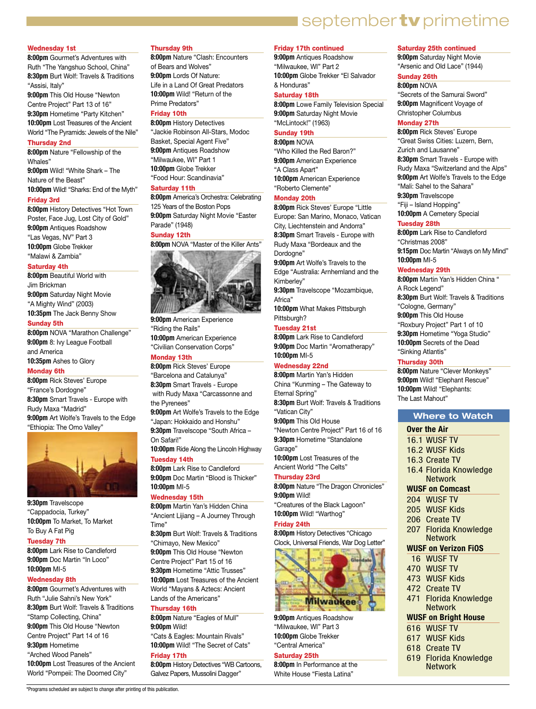## september tv primetime

### Wednesday 1st

**8:00pm** Gourmet's Adventures with Ruth "The Yangshuo School, China" **8:30pm** Burt Wolf: Travels & Traditions "Assisi, Italy"

**9:00pm** This Old House "Newton Centre Project" Part 13 of 16" **9:30pm** Hometime "Party Kitchen" **10:00pm** Lost Treasures of the Ancient World "The Pyramids: Jewels of the Nile"

### Thursday 2nd

**8:00pm** Nature "Fellowship of the Whales" **9:00pm** Wild! "White Shark – The Nature of the Beast" **10:00pm** Wild! "Sharks: End of the Myth"

### Friday 3rd

**8:00pm** History Detectives "Hot Town Poster, Face Jug, Lost City of Gold" **9:00pm** Antiques Roadshow "Las Vegas, NV" Part 3 **10:00pm** Globe Trekker "Malawi & Zambia"

### Saturday 4th

**8:00pm** Beautiful World with Jim Brickman **9:00pm** Saturday Night Movie "A Mighty Wind" (2003) **10:35pm** The Jack Benny Show

### Sunday 5th

**8:00pm** NOVA "Marathon Challenge" **9:00pm** 8: Ivy League Football and America **10:35pm** Ashes to Glory

### Monday 6th

**8:00pm** Rick Steves' Europe "France's Dordogne" **8:30pm** Smart Travels - Europe with Rudy Maxa "Madrid" **9:00pm** Art Wolfe's Travels to the Edge "Ethiopia: The Omo Valley"



**9:30pm** Travelscope "Cappadocia, Turkey" **10:00pm** To Market, To Market To Buy A Fat Pig

### Tuesday 7th

**8:00pm** Lark Rise to Candleford **9:00pm** Doc Martin "In Loco" **10:00pm** MI-5

### Wednesday 8th

**8:00pm** Gourmet's Adventures with Ruth "Julie Sahni's New York" **8:30pm** Burt Wolf: Travels & Traditions "Stamp Collecting, China" **9:00pm** This Old House "Newton Centre Project" Part 14 of 16 **9:30pm** Hometime "Arched Wood Panels" **10:00pm** Lost Treasures of the Ancient World "Pompeii: The Doomed City"

\*Programs scheduled are subject to change after printing of this publication.

### Thursday 9th

**8:00pm** Nature "Clash: Encounters of Bears and Wolves" **9:00pm** Lords Of Nature: Life in a Land Of Great Predators **10:00pm** Wild! "Return of the Prime Predators"

### Friday 10th

**8:00pm** History Detectives "Jackie Robinson All-Stars, Modoc Basket, Special Agent Five" **9:00pm** Antiques Roadshow "Milwaukee, WI" Part 1 **10:00pm** Globe Trekker "Food Hour: Scandinavia"

### Saturday 11th

**8:00pm** America's Orchestra: Celebrating 125 Years of the Boston Pops **9:00pm** Saturday Night Movie "Easter Parade" (1948)

### Sunday 12th

**8:00pm** NOVA "Master of the Killer Ants"



**9:00pm** American Experience "Riding the Rails" **10:00pm** American Experience "Civilian Conservation Corps" Monday 13th

**8:00pm** Rick Steves' Europe "Barcelona and Catalunya" **8:30pm** Smart Travels - Europe with Rudy Maxa "Carcassonne and the Pyrenees" **9:00pm** Art Wolfe's Travels to the Edge "Japan: Hokkaido and Honshu" **9:30pm** Travelscope "South Africa – On Safari!"

**10:00pm** Ride Along the Lincoln Highway Tuesday 14th

**8:00pm** Lark Rise to Candleford **9:00pm** Doc Martin "Blood is Thicker" **10:00pm** MI-5

### Wednesday 15th

**8:00pm** Martin Yan's Hidden China "Ancient Lijiang – A Journey Through Time"

**8:30pm** Burt Wolf: Travels & Traditions "Chimayo, New Mexico"

**9:00pm** This Old House "Newton Centre Project" Part 15 of 16 **9:30pm** Hometime "Attic Trusses" **10:00pm** Lost Treasures of the Ancient World "Mayans & Aztecs: Ancient Lands of the Americans"

### Thursday 16th

**8:00pm** Nature "Eagles of Mull" **9:00pm** Wild! "Cats & Eagles: Mountain Rivals" **10:00pm** Wild! "The Secret of Cats"

### Friday 17th

**8:00pm** History Detectives "WB Cartoons, Galvez Papers, Mussolini Dagger"

### Friday 17th continued

**9:00pm** Antiques Roadshow "Milwaukee, WI" Part 2 **10:00pm** Globe Trekker "El Salvador & Honduras"

### Saturday 18th

**8:00pm** Lowe Family Television Special **9:00pm** Saturday Night Movie "McLintock!" (1963)

### Sunday 19th

**8:00pm** NOVA "Who Killed the Red Baron?" **9:00pm** American Experience "A Class Apart" **10:00pm** American Experience "Roberto Clemente"

### Monday 20th

**8:00pm** Rick Steves' Europe "Little Europe: San Marino, Monaco, Vatican City, Liechtenstein and Andorra" **8:30pm** Smart Travels - Europe with Rudy Maxa "Bordeaux and the Dordogne"

**9:00pm** Art Wolfe's Travels to the Edge "Australia: Arnhemland and the

Kimberley" **9:30pm** Travelscope "Mozambique,

Africa"

**10:00pm** What Makes Pittsburgh Pittsburgh?

### Tuesday 21st

**8:00pm** Lark Rise to Candleford **9:00pm** Doc Martin "Aromatherapy" **10:00pm** MI-5

### Wednesday 22nd

**8:00pm** Martin Yan's Hidden China "Kunming – The Gateway to Eternal Spring" **8:30pm** Burt Wolf: Travels & Traditions "Vatican City" **9:00pm** This Old House "Newton Centre Project" Part 16 of 16 **9:30pm** Hometime "Standalone Garage" **10:00pm** Lost Treasures of the Ancient World "The Celts" Thursday 23rd

**8:00pm** Nature "The Dragon Chronicles" **9:00pm** Wild! "Creatures of the Black Lagoon"

**10:00pm** Wild! "Warthog" Friday 24th

### **8:00pm** History Detectives "Chicago

Clock, Universal Friends, War Dog Letter"



**9:00pm** Antiques Roadshow "Milwaukee, WI" Part 3 **10:00pm** Globe Trekker "Central America"

### Saturday 25th

**8:00pm** In Performance at the White House "Fiesta Latina"

### Saturday 25th continued

**9:00pm** Saturday Night Movie "Arsenic and Old Lace" (1944)

### Sunday 26th

**8:00pm** NOVA "Secrets of the Samurai Sword" **9:00pm** Magnificent Voyage of

Christopher Columbus Monday 27th

### **8:00pm** Rick Steves' Europe

"Great Swiss Cities: Luzern, Bern, Zurich and Lausanne" **8:30pm** Smart Travels - Europe with Rudy Maxa "Switzerland and the Alps" **9:00pm** Art Wolfe's Travels to the Edge "Mali: Sahel to the Sahara" **9:30pm** Travelscope

"Fiji – Island Hopping"

**10:00pm** A Cemetery Special Tuesday 28th

**8:00pm** Lark Rise to Candleford "Christmas 2008" **9:15pm** Doc Martin "Always on My Mind" **10:00pm** MI-5

### Wednesday 29th

**8:00pm** Martin Yan's Hidden China " A Rock Legend" **8:30pm** Burt Wolf: Travels & Traditions "Cologne, Germany" **9:00pm** This Old House "Roxbury Project" Part 1 of 10 **9:30pm** Hometime "Yoga Studio" **10:00pm** Secrets of the Dead

"Sinking Atlantis"

### Thursday 30th

**8:00pm** Nature "Clever Monkeys" **9:00pm** Wild! "Elephant Rescue" **10:00pm** Wild! "Elephants: The Last Mahout"

### **Where to Watch**

### **Over the Air**

- 16.1 WUSF TV
- 16.2 WUSF Kids
- 16.3 Create TV
- 16.4 Florida Knowledge
- Network

### **WUSF on Comcast**

- 204 WUSF TV
- 205 WUSF Kids
- 206 Create TV
- 
- 207 Florida Knowledge Network

### **WUSF on Verizon FiOS**

471 Florida Knowledge Network **WUSF on Bright House**  616 WUSF TV 617 WUSF Kids 618 Create TV

619 Florida Knowledge **Network** 

- 16 WUSF TV
- 470 WUSF TV
- 473 WUSF Kids 472 Create TV